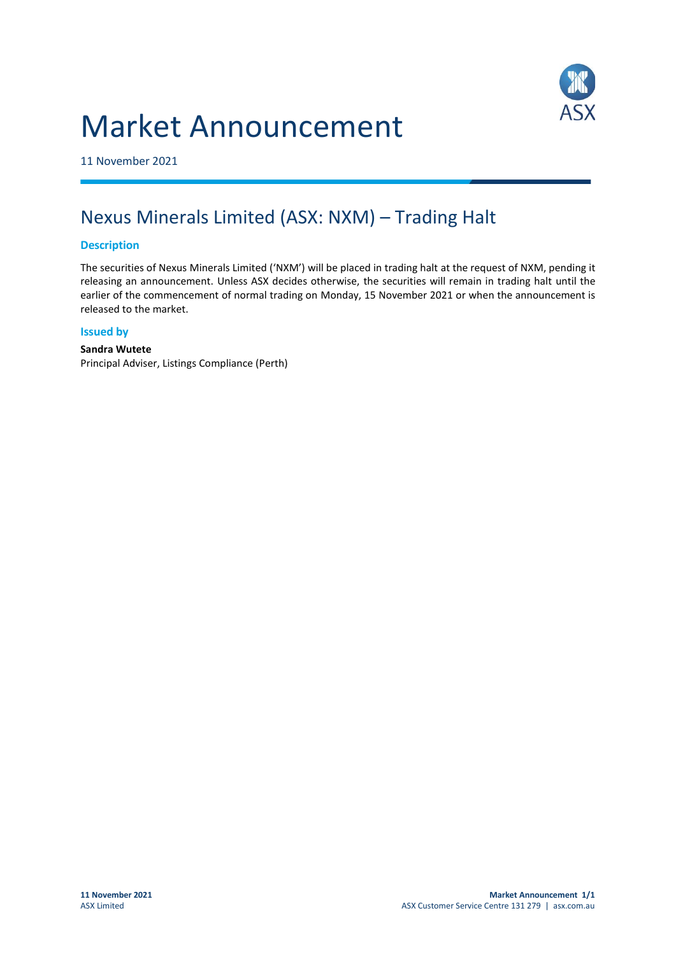# Market Announcement



11 November 2021

## Nexus Minerals Limited (ASX: NXM) – Trading Halt

#### **Description**

The securities of Nexus Minerals Limited ('NXM') will be placed in trading halt at the request of NXM, pending it releasing an announcement. Unless ASX decides otherwise, the securities will remain in trading halt until the earlier of the commencement of normal trading on Monday, 15 November 2021 or when the announcement is released to the market.

#### **Issued by**

#### **Sandra Wutete** Principal Adviser, Listings Compliance (Perth)